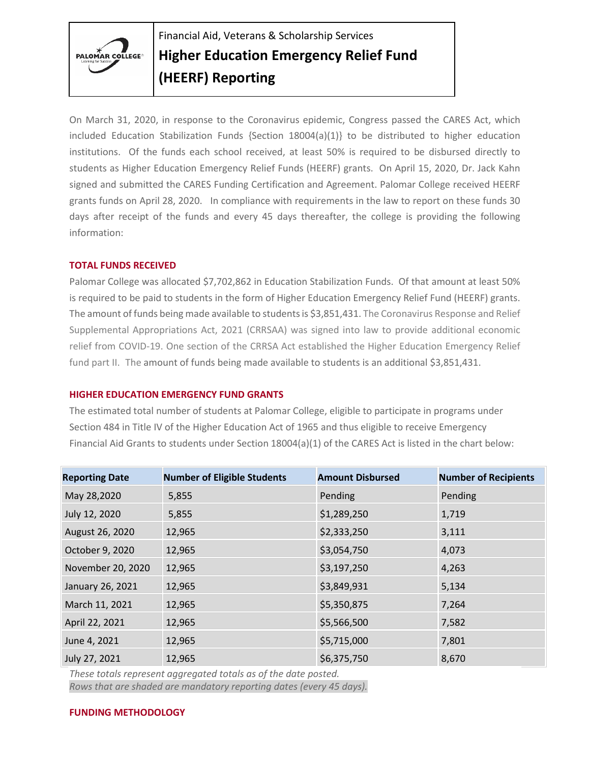

Financial Aid, Veterans & Scholarship Services **Higher Education Emergency Relief Fund (HEERF) Reporting**

On March 31, 2020, in response to the Coronavirus epidemic, Congress passed the CARES Act, which included Education Stabilization Funds  $\{Section 18004(a)(1)\}\)$  to be distributed to higher education institutions. Of the funds each school received, at least 50% is required to be disbursed directly to students as Higher Education Emergency Relief Funds (HEERF) grants. On April 15, 2020, Dr. Jack Kahn signed and submitted the CARES Funding Certification and Agreement. Palomar College received HEERF grants funds on April 28, 2020. In compliance with requirements in the law to report on these funds 30 days after receipt of the funds and every 45 days thereafter, the college is providing the following information:

## **TOTAL FUNDS RECEIVED**

Palomar College was allocated \$7,702,862 in Education Stabilization Funds. Of that amount at least 50% is required to be paid to students in the form of Higher Education Emergency Relief Fund (HEERF) grants. The amount of funds being made available to students is \$3,851,431. The Coronavirus Response and Relief Supplemental Appropriations Act, 2021 (CRRSAA) was signed into law to provide additional economic relief from COVID-19. One section of the CRRSA Act established the Higher Education Emergency Relief fund part II. The amount of funds being made available to students is an additional \$3,851,431.

## **HIGHER EDUCATION EMERGENCY FUND GRANTS**

The estimated total number of students at Palomar College, eligible to participate in programs under Section 484 in Title IV of the Higher Education Act of 1965 and thus eligible to receive Emergency Financial Aid Grants to students under Section 18004(a)(1) of the CARES Act is listed in the chart below:

| <b>Reporting Date</b> | <b>Number of Eligible Students</b> | <b>Amount Disbursed</b> | <b>Number of Recipients</b> |
|-----------------------|------------------------------------|-------------------------|-----------------------------|
| May 28,2020           | 5,855                              | Pending                 | Pending                     |
| July 12, 2020         | 5,855                              | \$1,289,250             | 1,719                       |
| August 26, 2020       | 12,965                             | \$2,333,250             | 3,111                       |
| October 9, 2020       | 12,965                             | \$3,054,750             | 4,073                       |
| November 20, 2020     | 12,965                             | \$3,197,250             | 4,263                       |
| January 26, 2021      | 12,965                             | \$3,849,931             | 5,134                       |
| March 11, 2021        | 12,965                             | \$5,350,875             | 7,264                       |
| April 22, 2021        | 12,965                             | \$5,566,500             | 7,582                       |
| June 4, 2021          | 12,965                             | \$5,715,000             | 7,801                       |
| July 27, 2021         | 12,965                             | \$6,375,750             | 8,670                       |

*These totals represent aggregated totals as of the date posted. Rows that are shaded are mandatory reporting dates (every 45 days).* 

## **FUNDING METHODOLOGY**